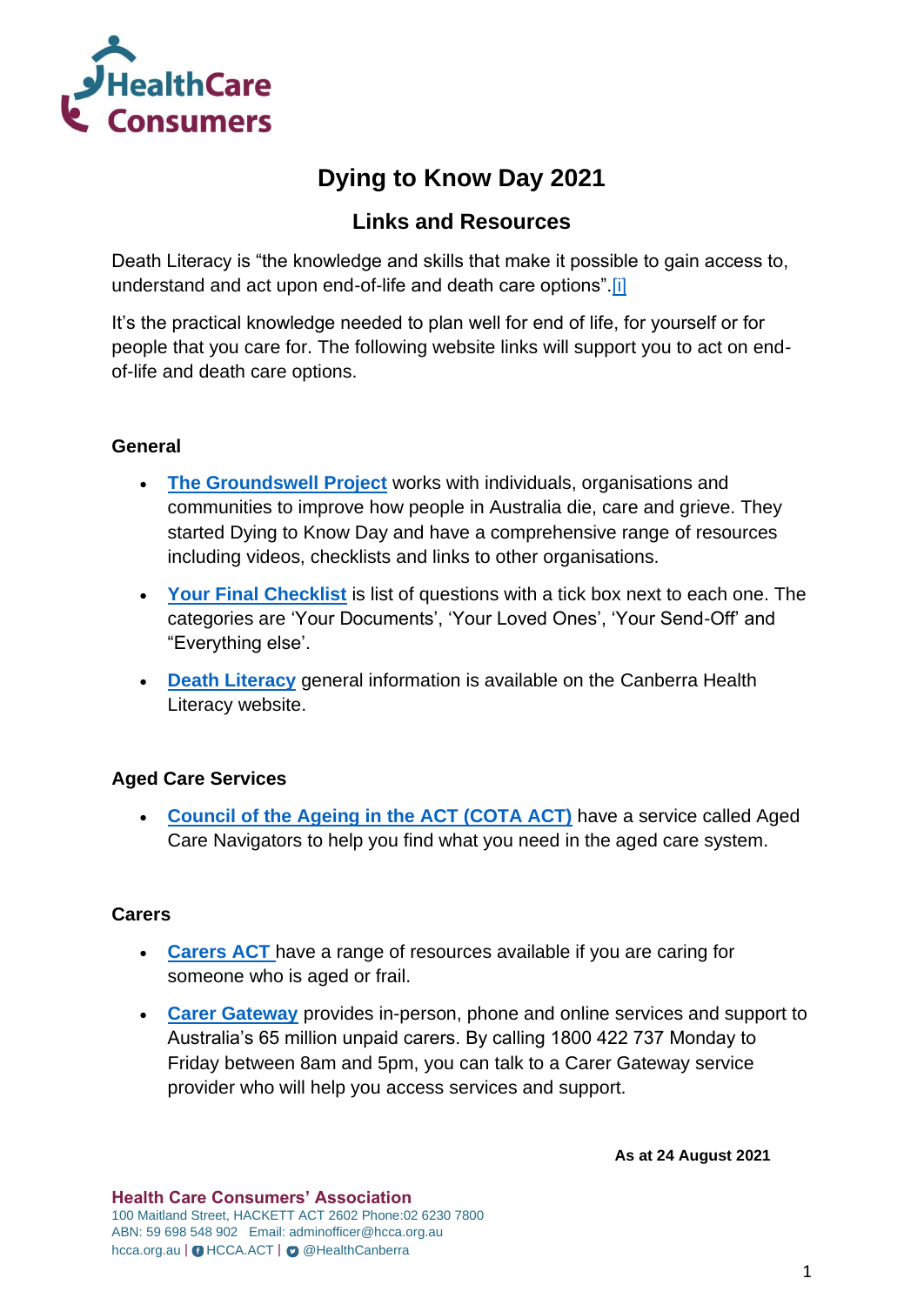

# **Dying to Know Day 2021**

# **Links and Resources**

Death Literacy is "the knowledge and skills that make it possible to gain access to, understand and act upon end-of-life and death care options"[.\[i\]](https://cbrhl.org.au/what-is-health-literacy/death-literacy/#_ftn1)

It's the practical knowledge needed to plan well for end of life, for yourself or for people that you care for. The following website links will support you to act on endof-life and death care options.

# **General**

- **[The Groundswell Project](https://www.thegroundswellproject.com/)** works with individuals, organisations and communities to improve how people in Australia die, care and grieve. They started Dying to Know Day and have a comprehensive range of resources including videos, checklists and links to other organisations.
- **[Your Final Checklist](https://www.thegroundswellproject.com/s/Final-Checklist-2021-v2.pdf)** is list of questions with a tick box next to each one. The categories are 'Your Documents', 'Your Loved Ones', 'Your Send-Off' and "Everything else'.
- **[Death Literacy](https://cbrhl.org.au/what-is-health-literacy/death-literacy/)** general information is available on the Canberra Health Literacy website.

# **Aged Care Services**

• **[Council of the Ageing in the ACT \(COTA ACT\)](https://www.cota.org.au/information/aged-care-navigators/)** have a service called Aged Care Navigators to help you find what you need in the aged care system.

# **Carers**

- **[Carers ACT](https://www.carersact.org.au/home/agedcareservices/)** have a range of resources available if you are caring for someone who is aged or frail.
- **[Carer Gateway](http://carergateway.gov.au/)** provides in-person, phone and online services and support to Australia's 65 million unpaid carers. By calling 1800 422 737 Monday to Friday between 8am and 5pm, you can talk to a Carer Gateway service provider who will help you access services and support.

**As at 24 August 2021**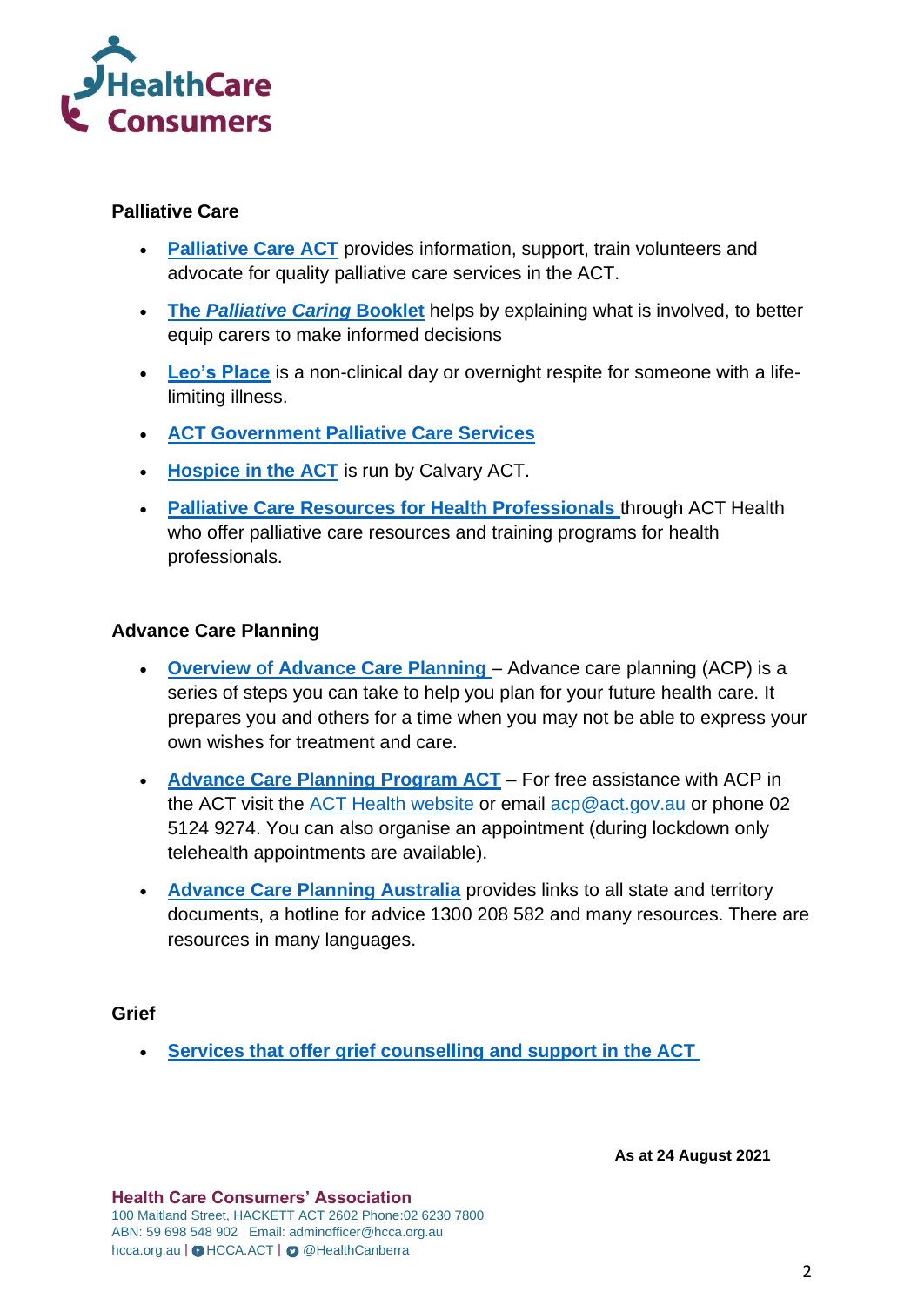

#### **Palliative Care**

- **[Palliative Care ACT](https://www.pallcareact.org.au/)** provides information, support, train volunteers and advocate for quality palliative care services in the ACT.
- **The** *[Palliative Caring](https://www.pallcareact.org.au/palliative-caring/)* **Booklet** helps by explaining what is involved, to better equip carers to make informed decisions
- **[Leo's Place](https://www.pallcareact.org.au/leos-place/)** is a non-clinical day or overnight respite for someone with a lifelimiting illness.
- **[ACT Government Palliative Care Services](https://www.health.act.gov.au/services/end-of-life-and-palliative-care)**
- **[Hospice in the ACT](https://www.calvarycare.org.au/public-hospital-bruce/services-and-clinics/clare-holland-house/)** is run by Calvary ACT.
- **[Palliative Care Resources for Health Professionals](https://www.calvarycare.org.au/public-hospital-bruce/services-and-clinics/clare-holland-house/)** through ACT Health who offer palliative care resources and training programs for health professionals.

# **Advance Care Planning**

- **[Overview of Advance Care Planning](https://www.health.act.gov.au/sites/default/files/2021-05/Advance%20Care%20planning%20infographic.pdf)** Advance care planning (ACP) is a series of steps you can take to help you plan for your future health care. It prepares you and others for a time when you may not be able to express your own wishes for treatment and care.
- **[Advance Care Planning Program ACT](https://www.health.act.gov.au/services/advance-care-planning)** For free assistance with ACP in the ACT visit the [ACT Health website](https://www.health.act.gov.au/services/advance-care-planning) or email [acp@act.gov.au](mailto:acp@act.gov.au) or phone 02 5124 9274. You can also organise an appointment (during lockdown only telehealth appointments are available).
- **[Advance Care Planning Australia](https://www.advancecareplanning.org.au/)** provides links to all state and territory documents, a hotline for advice 1300 208 582 and many resources. There are resources in many languages.

**Grief**

• **[Services that offer grief counselling and support in the ACT](https://www.pallcareact.org.au/daisy/for-healthcare-professionals/grief-services/)**

**As at 24 August 2021**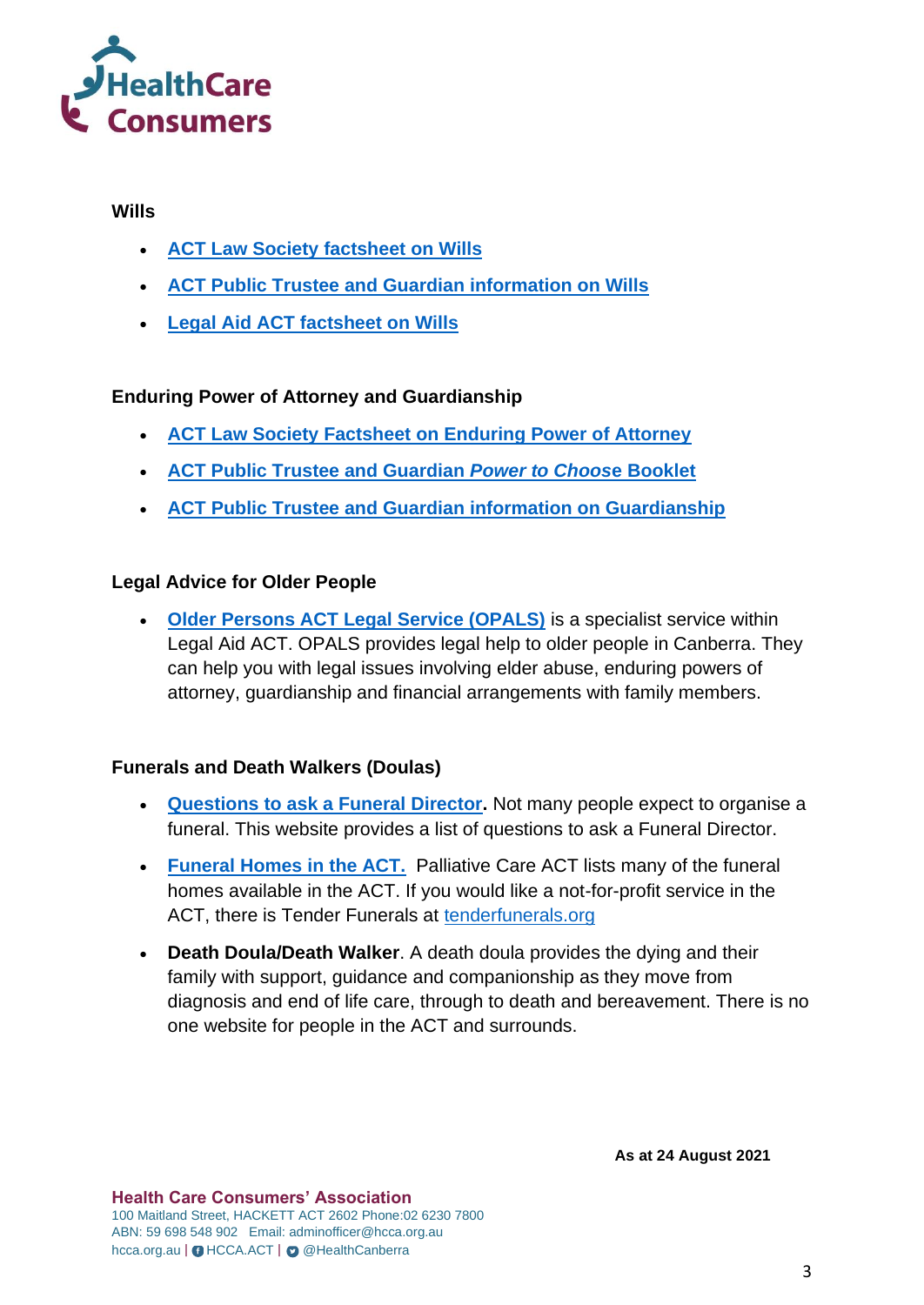

#### **Wills**

- **[ACT Law Society factsheet on Wills](https://www.actlawsociety.asn.au/for-the-public/fact-sheets/making-a-will)**
- **[ACT Public Trustee and Guardian information on Wills](https://www.ptg.act.gov.au/wills)**
- **[Legal Aid ACT factsheet on Wills](https://www.legalaidact.org.au/sites/default/files/files/publications/Will.pdf)**

# **Enduring Power of Attorney and Guardianship**

- **[ACT Law Society Factsheet on Enduring Power of Attorney](https://www.actlawsociety.asn.au/for-the-public/fact-sheets/enduring-power-of-attorney)**
- **[ACT Public Trustee and Guardian](https://www.ptg.act.gov.au/images/pdf/ptg-power-to-choose.pdf)** *Power to Choos***e Booklet**
- **[ACT Public Trustee and Guardian information on Guardianship](https://www.ptg.act.gov.au/guardianship)**

# **Legal Advice for Older People**

• **[Older Persons ACT Legal Service \(OPALS\)](https://www.legalaidact.org.au/opals)** is a specialist service within Legal Aid ACT. OPALS provides legal help to older people in Canberra. They can help you with legal issues involving elder abuse, enduring powers of attorney, guardianship and financial arrangements with family members.

# **Funerals and Death Walkers (Doulas)**

- **[Questions to ask a Funeral Director.](https://www.joincake.com/blog/questions-to-ask-a-funeral-director/#:~:text=List%20of%2010%20Questions%20to%20Ask%20Your%20Funeral,5%205.%20%E2%80%9CWhat%20packages%20are%20offered%3F%E2%80%9D.%20More%20items)** Not many people expect to organise a funeral. This website provides a list of questions to ask a Funeral Director.
- **[Funeral Homes in the ACT.](https://www.pallcareact.org.au/daisy/for-patients-families-and-carers/funeral-burial-services/)** Palliative Care ACT lists many of the funeral homes available in the ACT. If you would like a not-for-profit service in the ACT, there is Tender Funerals at [tenderfunerals.org](http://www.tenderfunerals.org/)
- **Death Doula/Death Walker**. A death doula provides the dying and their family with support, guidance and companionship as they move from diagnosis and end of life care, through to death and bereavement. There is no one website for people in the ACT and surrounds.

**As at 24 August 2021**